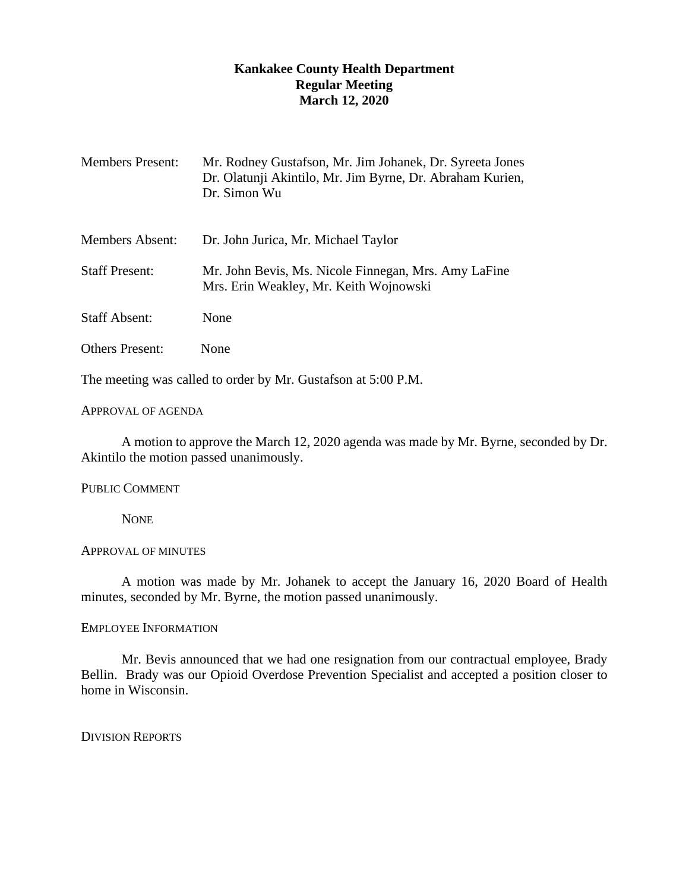# **Kankakee County Health Department Regular Meeting March 12, 2020**

| <b>Members Present:</b> | Mr. Rodney Gustafson, Mr. Jim Johanek, Dr. Syreeta Jones<br>Dr. Olatunji Akintilo, Mr. Jim Byrne, Dr. Abraham Kurien,<br>Dr. Simon Wu |
|-------------------------|---------------------------------------------------------------------------------------------------------------------------------------|
| Members Absent:         | Dr. John Jurica, Mr. Michael Taylor                                                                                                   |
| <b>Staff Present:</b>   | Mr. John Bevis, Ms. Nicole Finnegan, Mrs. Amy LaFine<br>Mrs. Erin Weakley, Mr. Keith Wojnowski                                        |
| <b>Staff Absent:</b>    | None                                                                                                                                  |
| <b>Others Present:</b>  | None                                                                                                                                  |

The meeting was called to order by Mr. Gustafson at 5:00 P.M.

## APPROVAL OF AGENDA

A motion to approve the March 12, 2020 agenda was made by Mr. Byrne, seconded by Dr. Akintilo the motion passed unanimously.

## PUBLIC COMMENT

**NONE** 

# APPROVAL OF MINUTES

A motion was made by Mr. Johanek to accept the January 16, 2020 Board of Health minutes, seconded by Mr. Byrne, the motion passed unanimously.

## EMPLOYEE INFORMATION

Mr. Bevis announced that we had one resignation from our contractual employee, Brady Bellin. Brady was our Opioid Overdose Prevention Specialist and accepted a position closer to home in Wisconsin.

DIVISION REPORTS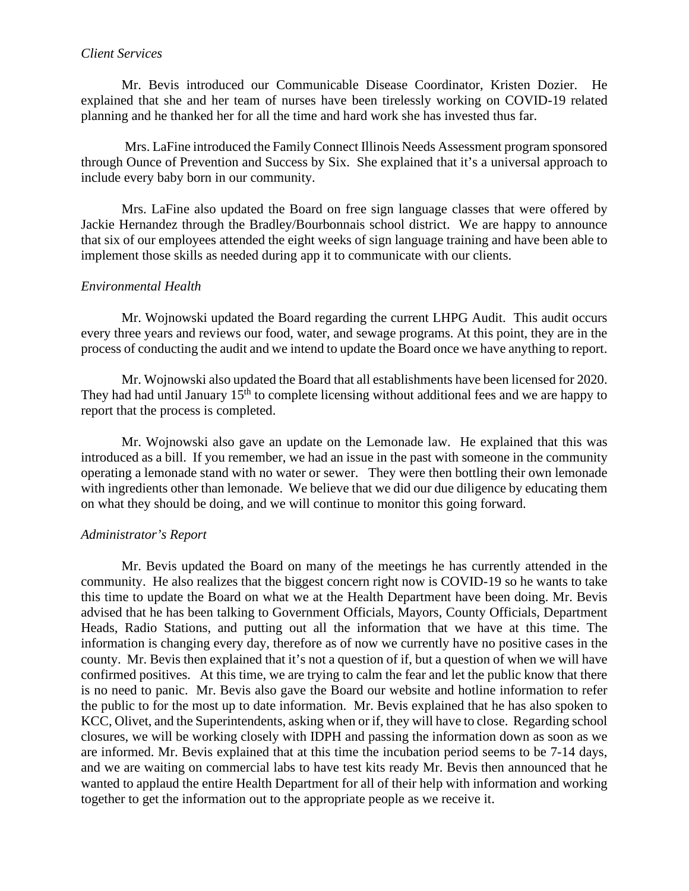# *Client Services*

Mr. Bevis introduced our Communicable Disease Coordinator, Kristen Dozier. He explained that she and her team of nurses have been tirelessly working on COVID-19 related planning and he thanked her for all the time and hard work she has invested thus far.

Mrs. LaFine introduced the Family Connect Illinois Needs Assessment program sponsored through Ounce of Prevention and Success by Six. She explained that it's a universal approach to include every baby born in our community.

Mrs. LaFine also updated the Board on free sign language classes that were offered by Jackie Hernandez through the Bradley/Bourbonnais school district. We are happy to announce that six of our employees attended the eight weeks of sign language training and have been able to implement those skills as needed during app it to communicate with our clients.

# *Environmental Health*

Mr. Wojnowski updated the Board regarding the current LHPG Audit. This audit occurs every three years and reviews our food, water, and sewage programs. At this point, they are in the process of conducting the audit and we intend to update the Board once we have anything to report.

Mr. Wojnowski also updated the Board that all establishments have been licensed for 2020. They had had until January  $15<sup>th</sup>$  to complete licensing without additional fees and we are happy to report that the process is completed.

Mr. Wojnowski also gave an update on the Lemonade law. He explained that this was introduced as a bill. If you remember, we had an issue in the past with someone in the community operating a lemonade stand with no water or sewer. They were then bottling their own lemonade with ingredients other than lemonade. We believe that we did our due diligence by educating them on what they should be doing, and we will continue to monitor this going forward.

# *Administrator's Report*

Mr. Bevis updated the Board on many of the meetings he has currently attended in the community. He also realizes that the biggest concern right now is COVID-19 so he wants to take this time to update the Board on what we at the Health Department have been doing. Mr. Bevis advised that he has been talking to Government Officials, Mayors, County Officials, Department Heads, Radio Stations, and putting out all the information that we have at this time. The information is changing every day, therefore as of now we currently have no positive cases in the county. Mr. Bevis then explained that it's not a question of if, but a question of when we will have confirmed positives. At this time, we are trying to calm the fear and let the public know that there is no need to panic. Mr. Bevis also gave the Board our website and hotline information to refer the public to for the most up to date information. Mr. Bevis explained that he has also spoken to KCC, Olivet, and the Superintendents, asking when or if, they will have to close. Regarding school closures, we will be working closely with IDPH and passing the information down as soon as we are informed. Mr. Bevis explained that at this time the incubation period seems to be 7-14 days, and we are waiting on commercial labs to have test kits ready Mr. Bevis then announced that he wanted to applaud the entire Health Department for all of their help with information and working together to get the information out to the appropriate people as we receive it.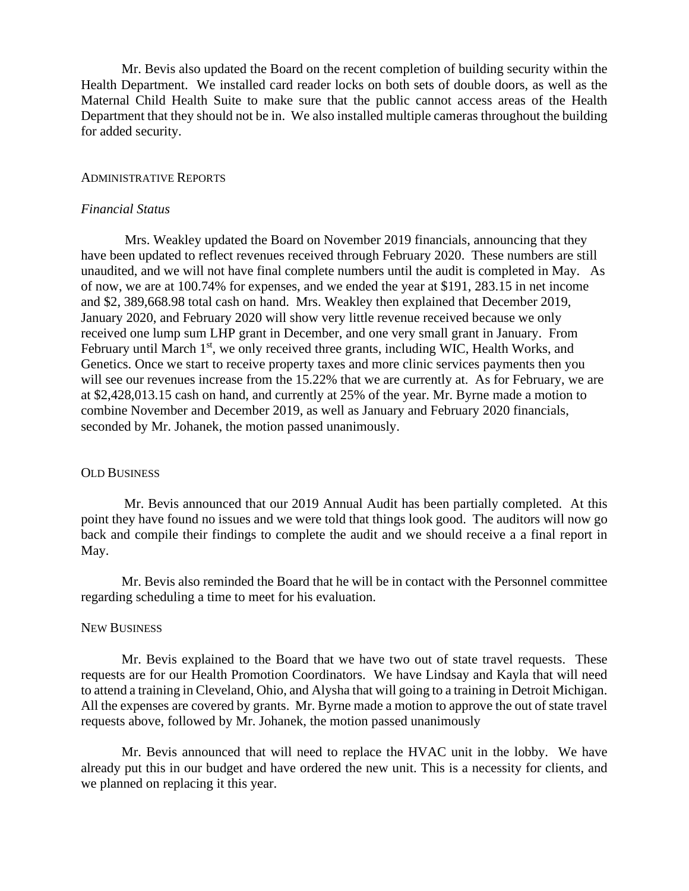Mr. Bevis also updated the Board on the recent completion of building security within the Health Department. We installed card reader locks on both sets of double doors, as well as the Maternal Child Health Suite to make sure that the public cannot access areas of the Health Department that they should not be in. We also installed multiple cameras throughout the building for added security.

#### ADMINISTRATIVE REPORTS

### *Financial Status*

Mrs. Weakley updated the Board on November 2019 financials, announcing that they have been updated to reflect revenues received through February 2020. These numbers are still unaudited, and we will not have final complete numbers until the audit is completed in May. As of now, we are at 100.74% for expenses, and we ended the year at \$191, 283.15 in net income and \$2, 389,668.98 total cash on hand. Mrs. Weakley then explained that December 2019, January 2020, and February 2020 will show very little revenue received because we only received one lump sum LHP grant in December, and one very small grant in January. From February until March 1<sup>st</sup>, we only received three grants, including WIC, Health Works, and Genetics. Once we start to receive property taxes and more clinic services payments then you will see our revenues increase from the 15.22% that we are currently at. As for February, we are at \$2,428,013.15 cash on hand, and currently at 25% of the year. Mr. Byrne made a motion to combine November and December 2019, as well as January and February 2020 financials, seconded by Mr. Johanek, the motion passed unanimously.

### OLD BUSINESS

Mr. Bevis announced that our 2019 Annual Audit has been partially completed. At this point they have found no issues and we were told that things look good. The auditors will now go back and compile their findings to complete the audit and we should receive a a final report in May.

Mr. Bevis also reminded the Board that he will be in contact with the Personnel committee regarding scheduling a time to meet for his evaluation.

### NEW BUSINESS

Mr. Bevis explained to the Board that we have two out of state travel requests. These requests are for our Health Promotion Coordinators. We have Lindsay and Kayla that will need to attend a training in Cleveland, Ohio, and Alysha that will going to a training in Detroit Michigan. All the expenses are covered by grants. Mr. Byrne made a motion to approve the out of state travel requests above, followed by Mr. Johanek, the motion passed unanimously

Mr. Bevis announced that will need to replace the HVAC unit in the lobby. We have already put this in our budget and have ordered the new unit. This is a necessity for clients, and we planned on replacing it this year.